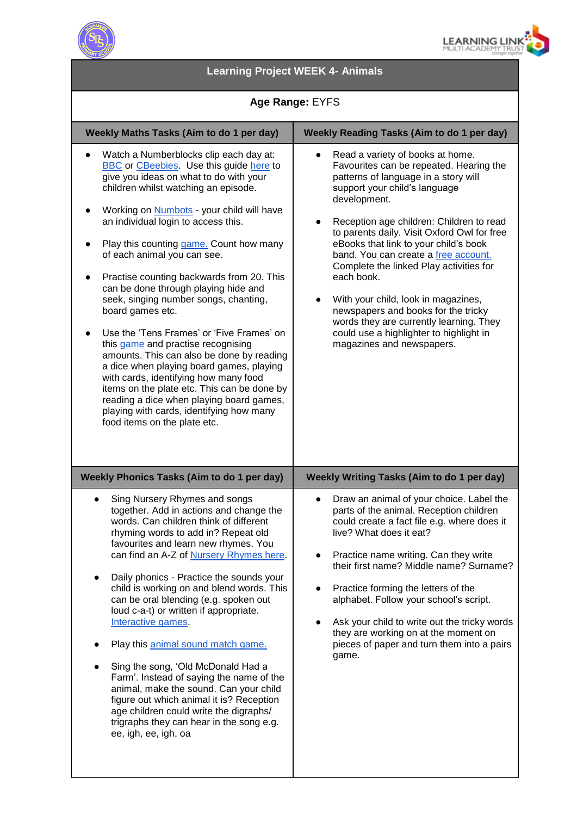



# **Learning Project WEEK 4- Animals**

### **Age Range:** EYFS

| Weekly Maths Tasks (Aim to do 1 per day)                                                                                                                                                                                                                                                                                                                                                                                                                                                                                                                                                                                                                                                                                                                                                                                                                                                                         | <b>Weekly Reading Tasks (Aim to do 1 per day)</b>                                                                                                                                                                                                                                                                                                                                                                                                                                                                                                                                                                       |
|------------------------------------------------------------------------------------------------------------------------------------------------------------------------------------------------------------------------------------------------------------------------------------------------------------------------------------------------------------------------------------------------------------------------------------------------------------------------------------------------------------------------------------------------------------------------------------------------------------------------------------------------------------------------------------------------------------------------------------------------------------------------------------------------------------------------------------------------------------------------------------------------------------------|-------------------------------------------------------------------------------------------------------------------------------------------------------------------------------------------------------------------------------------------------------------------------------------------------------------------------------------------------------------------------------------------------------------------------------------------------------------------------------------------------------------------------------------------------------------------------------------------------------------------------|
| Watch a Numberblocks clip each day at:<br>$\bullet$<br><b>BBC</b> or <b>CBeebies</b> Use this guide here to<br>give you ideas on what to do with your<br>children whilst watching an episode.<br>Working on <b>Numbots</b> - your child will have<br>an individual login to access this.<br>Play this counting game. Count how many<br>of each animal you can see.<br>Practise counting backwards from 20. This<br>can be done through playing hide and<br>seek, singing number songs, chanting,<br>board games etc.<br>Use the 'Tens Frames' or 'Five Frames' on<br>this game and practise recognising<br>amounts. This can also be done by reading<br>a dice when playing board games, playing<br>with cards, identifying how many food<br>items on the plate etc. This can be done by<br>reading a dice when playing board games,<br>playing with cards, identifying how many<br>food items on the plate etc. | Read a variety of books at home.<br>Favourites can be repeated. Hearing the<br>patterns of language in a story will<br>support your child's language<br>development.<br>Reception age children: Children to read<br>$\bullet$<br>to parents daily. Visit Oxford Owl for free<br>eBooks that link to your child's book<br>band. You can create a free account.<br>Complete the linked Play activities for<br>each book.<br>With your child, look in magazines,<br>newspapers and books for the tricky<br>words they are currently learning. They<br>could use a highlighter to highlight in<br>magazines and newspapers. |
| Weekly Phonics Tasks (Aim to do 1 per day)                                                                                                                                                                                                                                                                                                                                                                                                                                                                                                                                                                                                                                                                                                                                                                                                                                                                       | <b>Weekly Writing Tasks (Aim to do 1 per day)</b>                                                                                                                                                                                                                                                                                                                                                                                                                                                                                                                                                                       |
| Sing Nursery Rhymes and songs<br>$\bullet$<br>together. Add in actions and change the<br>words. Can children think of different<br>rhyming words to add in? Repeat old<br>favourites and learn new rhymes. You<br>can find an A-Z of Nursery Rhymes here.<br>Daily phonics - Practice the sounds your<br>child is working on and blend words. This<br>can be oral blending (e.g. spoken out<br>loud c-a-t) or written if appropriate.<br>Interactive games.<br>Play this animal sound match game.<br>Sing the song, 'Old McDonald Had a<br>Farm'. Instead of saying the name of the<br>animal, make the sound. Can your child<br>figure out which animal it is? Reception<br>age children could write the digraphs/<br>trigraphs they can hear in the song e.g.<br>ee, igh, ee, igh, oa                                                                                                                          | Draw an animal of your choice. Label the<br>$\bullet$<br>parts of the animal. Reception children<br>could create a fact file e.g. where does it<br>live? What does it eat?<br>Practice name writing. Can they write<br>their first name? Middle name? Surname?<br>Practice forming the letters of the<br>alphabet. Follow your school's script.<br>Ask your child to write out the tricky words<br>they are working on at the moment on<br>pieces of paper and turn them into a pairs<br>game.                                                                                                                          |